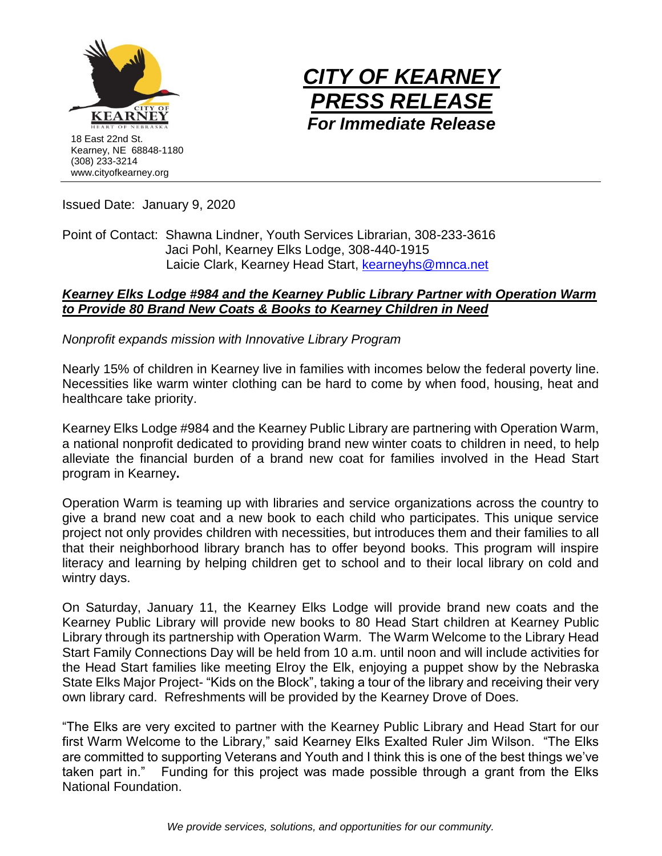



Issued Date: January 9, 2020

Point of Contact: Shawna Lindner, Youth Services Librarian, 308-233-3616 Jaci Pohl, Kearney Elks Lodge, 308-440-1915 Laicie Clark, Kearney Head Start, [kearneyhs@mnca.net](mailto:kearneyhs@mnca.net)

### *Kearney Elks Lodge #984 and the Kearney Public Library Partner with Operation Warm to Provide 80 Brand New Coats & Books to Kearney Children in Need*

*Nonprofit expands mission with Innovative Library Program*

Nearly 15% of children in Kearney live in families with incomes below the federal poverty line. Necessities like warm winter clothing can be hard to come by when food, housing, heat and healthcare take priority.

Kearney Elks Lodge #984 and the Kearney Public Library are partnering with Operation Warm, a national nonprofit dedicated to providing brand new winter coats to children in need, to help alleviate the financial burden of a brand new coat for families involved in the Head Start program in Kearney**.**

Operation Warm is teaming up with libraries and service organizations across the country to give a brand new coat and a new book to each child who participates. This unique service project not only provides children with necessities, but introduces them and their families to all that their neighborhood library branch has to offer beyond books. This program will inspire literacy and learning by helping children get to school and to their local library on cold and wintry days.

On Saturday, January 11, the Kearney Elks Lodge will provide brand new coats and the Kearney Public Library will provide new books to 80 Head Start children at Kearney Public Library through its partnership with Operation Warm. The Warm Welcome to the Library Head Start Family Connections Day will be held from 10 a.m. until noon and will include activities for the Head Start families like meeting Elroy the Elk, enjoying a puppet show by the Nebraska State Elks Major Project- "Kids on the Block", taking a tour of the library and receiving their very own library card. Refreshments will be provided by the Kearney Drove of Does.

"The Elks are very excited to partner with the Kearney Public Library and Head Start for our first Warm Welcome to the Library," said Kearney Elks Exalted Ruler Jim Wilson. "The Elks are committed to supporting Veterans and Youth and I think this is one of the best things we've taken part in." Funding for this project was made possible through a grant from the Elks National Foundation.